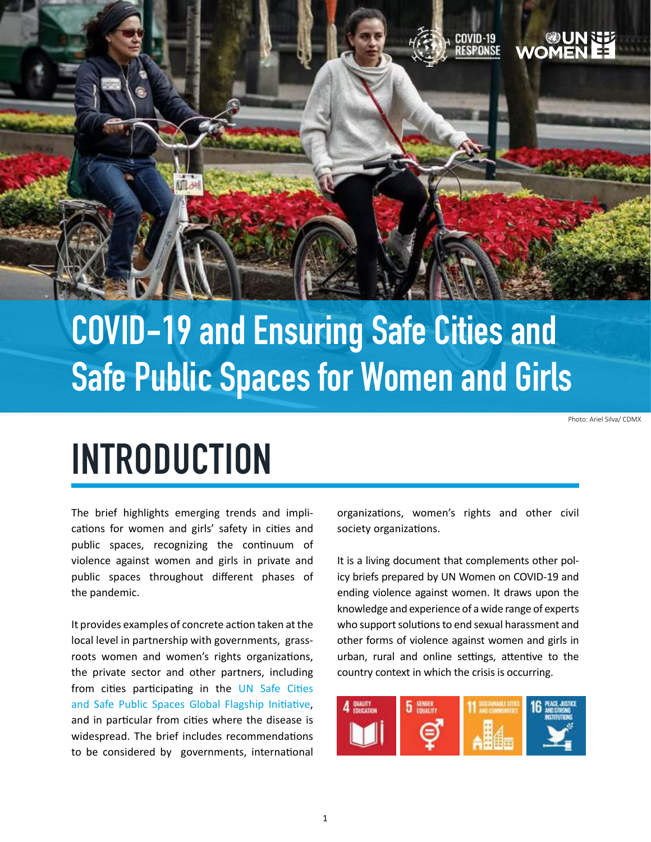

## **COVID-19 and Ensuring Safe Cities and Safe Public Spaces for Women and Girls**

Photo: Ariel Silva/ CDMX

## **INTRODUCTION**

The brief highlights emerging trends and implications for women and girls' safety in cities and public spaces, recognizing the continuum of violence against women and girls in private and public spaces throughout different phases of the pandemic.

It provides examples of concrete action taken at the local level in partnership with governments, grassroots women and women's rights organizations, the private sector and other partners, including from cities participating in [the UN Safe Cities](https://www.unwomen.org/-/media/headquarters/attachments/sections/how we work/flagship programmes/fpi-brief-safe-cities-and-safe-public-spaces-en.pdf?la=en&vs=221)  [and Safe Public Spaces Global Flagship Initi](https://www.unwomen.org/-/media/headquarters/attachments/sections/how we work/flagship programmes/fpi-brief-safe-cities-and-safe-public-spaces-en.pdf?la=en&vs=221)ative, and in particular from cities where the disease is widespread. The brief includes recommendations to be considered by governments, international organizations, women's rights and other civil society organizations.

It is a living document that complements other policy briefs prepared by UN Women on COVID-19 and ending violence against women. It draws upon the knowledge and experience of a wide range of experts who support solutions to end sexual harassment and other forms of violence against women and girls in urban, rural and online settings, attentive to the country context in which the crisis is occurring.

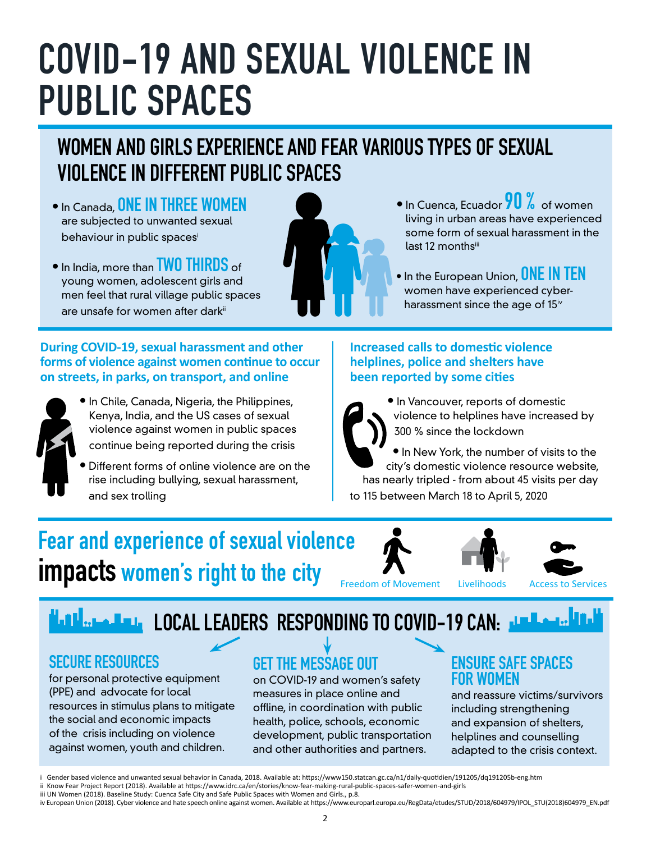## **COVID-19 AND SEXUAL VIOLENCE IN PUBLIC SPACES**

### **WOMEN AND GIRLS EXPERIENCE AND FEAR VARIOUS TYPES OF SEXUAL VIOLENCE IN DIFFERENT PUBLIC SPACES**

- In Canada, **ONE IN THREE WOMEN**  are subjected to unwanted sexual behaviour in public spacesi
- In India, more than **TWO THIRDS** of young women, adolescent girls and men feel that rural village public spaces are unsafe for women after dark<sup>ii</sup>

#### **During COVID-19, sexual harassment and other forms of violence against women continue to occur on streets, in parks, on transport, and online**



- **•** In Chile, Canada, Nigeria, the Philippines, Kenya, India, and the US cases of sexual violence against women in public spaces continue being reported during the crisis
- Different forms of online violence are on the rise including bullying, sexual harassment, and sex trolling

#### **•** In Cuenca, Ecuador **90 %** of women living in urban areas have experienced some form of sexual harassment in the last 12 monthsiii

• In the European Union, **ONE IN TEN**  women have experienced cyberharassment since the age of 15<sup>iv</sup>

#### **Increased calls to domestic violence helplines, police and shelters have been reported by some cities**

**•** In Vancouver, reports of domestic violence to helplines have increased by 300 % since the lockdown

**•** In New York, the number of visits to the city's domestic violence resource website, has nearly tripled - from about 45 visits per day to 115 between March 18 to April 5, 2020

### **Fear and experience of sexual violence impacts women's right to the city**







Freedom of Movement Livelihoods Access to Services

### **LOCAL LEADERS RESPONDING TO COVID-19 CAN:** JUNEAU PRINT

#### **SECURE RESOURCES**

for personal protective equipment (PPE) and advocate for local resources in stimulus plans to mitigate the social and economic impacts of the crisis including on violence against women, youth and children.

### **GET THE MESSAGE OUT**

on COVID-19 and women's safety measures in place online and offline, in coordination with public health, police, schools, economic development, public transportation and other authorities and partners.

#### **ENSURE SAFE SPACES FOR WOMEN**

and reassure victims/survivors including strengthening and expansion of shelters, helplines and counselling adapted to the crisis context.

ii Know Fear Project Report (2018). Available at https://www.idrc.ca/en/stories/know-fear-making-rural-public-spaces-safer-women-and-girls iii UN Women (2018). Baseline Study: Cuenca Safe City and Safe Public Spaces with Women and Girls., p.8.

i Gender based violence and unwanted sexual behavior in Canada, 2018. Available at: https://www150.statcan.gc.ca/n1/daily-quotidien/191205/dq191205b-eng.htm

iv European Union (2018). Cyber violence and hate speech online against women. Available at https://www.europarl.europa.eu/RegData/etudes/STUD/2018/604979/IPOL\_STU(2018)604979\_EN.pdf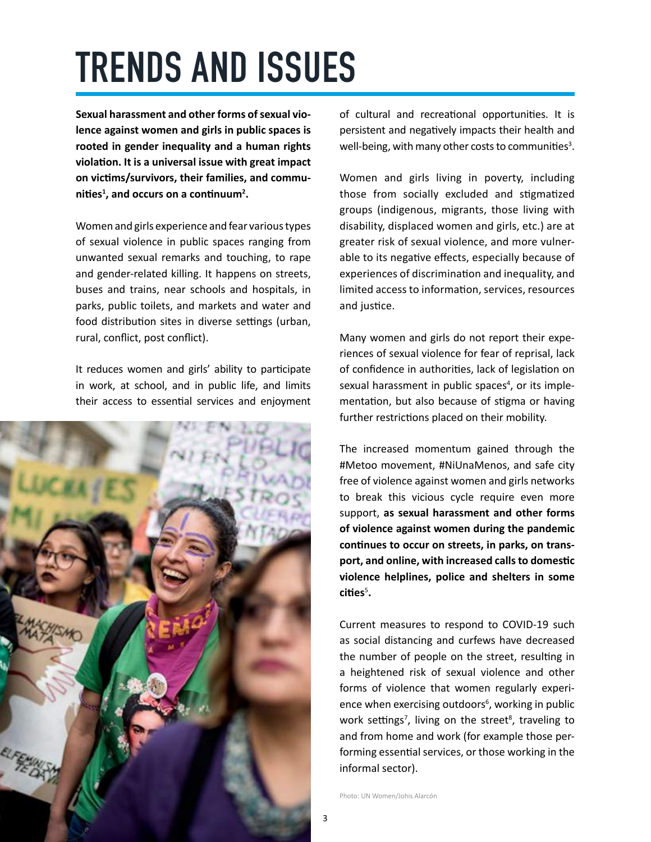# **TRENDS AND ISSUES**

**Sexual harassment and other forms of sexual violence against women and girls in public spaces is rooted in gender inequality and a human rights violation. It is a universal issue with great impact on victims/survivors, their families, and communities<sup>1</sup> , and occurs on a continuum<sup>2</sup> .** 

Women and girls experience and fear various types of sexual violence in public spaces ranging from unwanted sexual remarks and touching, to rape and gender-related killing. It happens on streets, buses and trains, near schools and hospitals, in parks, public toilets, and markets and water and food distribution sites in diverse settings (urban, rural, conflict, post conflict).

It reduces women and girls' ability to participate in work, at school, and in public life, and limits their access to essential services and enjoyment



of cultural and recreational opportunities. It is persistent and negatively impacts their health and well-being, with many other costs to communities<sup>3</sup>.

Women and girls living in poverty, including those from socially excluded and stigmatized groups (indigenous, migrants, those living with disability, displaced women and girls, etc.) are at greater risk of sexual violence, and more vulnerable to its negative effects, especially because of experiences of discrimination and inequality, and limited access to information, services, resources and justice.

Many women and girls do not report their experiences of sexual violence for fear of reprisal, lack of confidence in authorities, lack of legislation on sexual harassment in public spaces<sup>4</sup>, or its implementation, but also because of stigma or having further restrictions placed on their mobility.

The increased momentum gained through the #Metoo movement, #NiUnaMenos, and safe city free of violence against women and girls networks to break this vicious cycle require even more support, **as sexual harassment and other forms of violence against women during the pandemic continues to occur on streets, in parks, on transport, and online, with increased calls to domestic violence helplines, police and shelters in some cities**<sup>5</sup> **.** 

Current measures to respond to COVID-19 such as social distancing and curfews have decreased the number of people on the street, resulting in a heightened risk of sexual violence and other forms of violence that women regularly experience when exercising outdoors<sup>6</sup>, working in public work settings<sup>7</sup>, living on the street<sup>8</sup>, traveling to and from home and work (for example those performing essential services, or those working in the informal sector).

Photo: UN Women/Johis Alarcón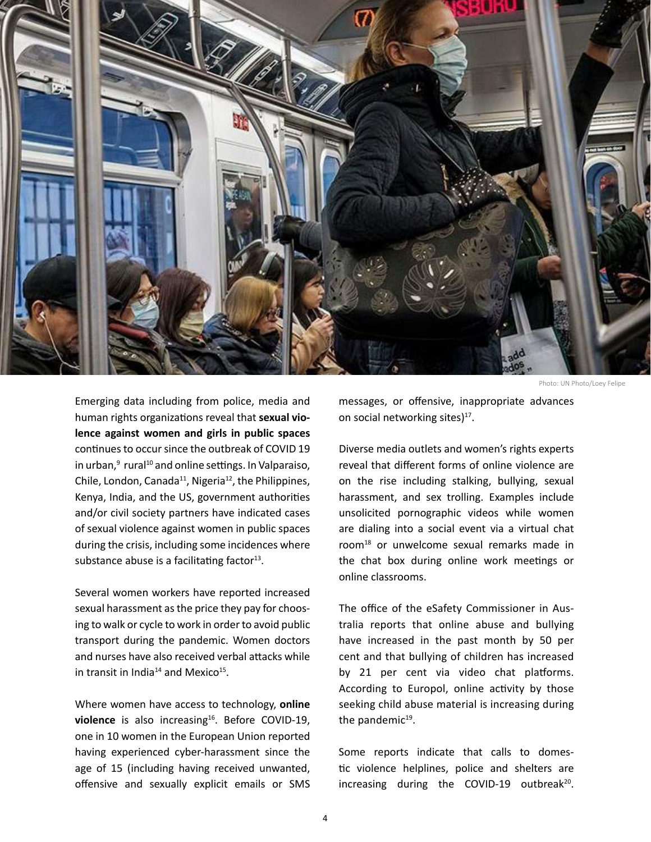

Emerging data including from police, media and human rights organizations reveal that **sexual violence against women and girls in public spaces** continues to occur since the outbreak of COVID 19 in urban, $^9$  rural $^{10}$  and online settings. In Valparaiso, Chile, London, Canada<sup>11</sup>, Nigeria<sup>12</sup>, the Philippines, Kenya, India, and the US, government authorities and/or civil society partners have indicated cases of sexual violence against women in public spaces during the crisis, including some incidences where substance abuse is a facilitating factor $13$ .

Several women workers have reported increased sexual harassment as the price they pay for choosing to walk or cycle to work in order to avoid public transport during the pandemic. Women doctors and nurses have also received verbal attacks while in transit in India<sup>14</sup> and Mexico<sup>15</sup>.

Where women have access to technology, **online**  violence is also increasing<sup>16</sup>. Before COVID-19, one in 10 women in the European Union reported having experienced cyber-harassment since the age of 15 (including having received unwanted, offensive and sexually explicit emails or SMS

messages, or offensive, inappropriate advances on social networking sites)<sup>17</sup>.

Diverse media outlets and women's rights experts reveal that different forms of online violence are on the rise including stalking, bullying, sexual harassment, and sex trolling. Examples include unsolicited pornographic videos while women are dialing into a social event via a virtual chat room18 or unwelcome sexual remarks made in the chat box during online work meetings or online classrooms.

The office of the eSafety Commissioner in Australia reports that online abuse and bullying have increased in the past month by 50 per cent and that bullying of children has increased by 21 per cent via video chat platforms. According to Europol, online activity by those seeking child abuse material is increasing during the pandemic $19$ .

Some reports indicate that calls to domestic violence helplines, police and shelters are increasing during the COVID-19 outbreak<sup>20</sup>.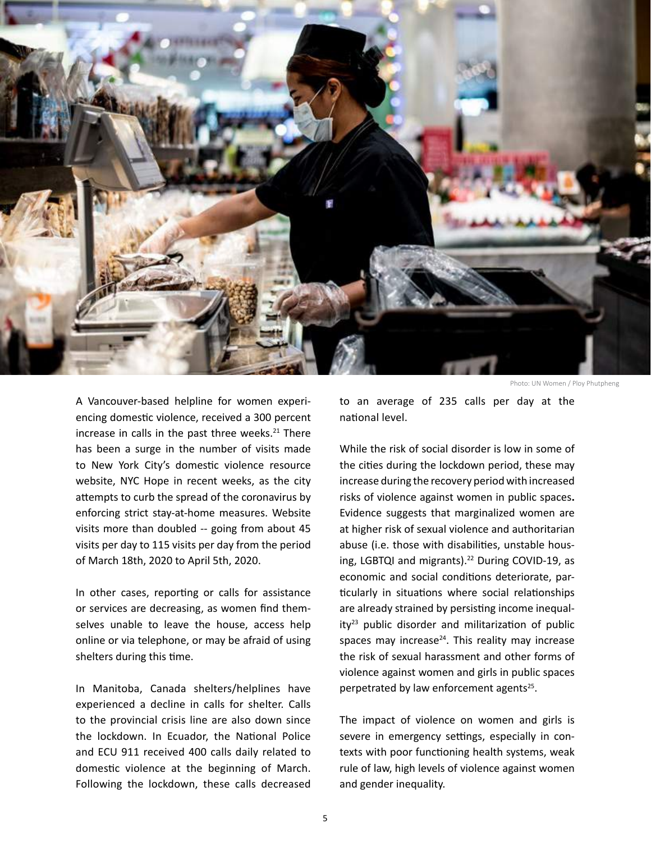

A Vancouver-based helpline for women experiencing domestic violence, received a 300 percent increase in calls in the past three weeks. $21$  There has been a surge in the number of visits made to New York City's domestic violence resource website, NYC Hope in recent weeks, as the city attempts to curb the spread of the coronavirus by enforcing strict stay-at-home measures. Website visits more than doubled -- going from about 45 visits per day to 115 visits per day from the period of March 18th, 2020 to April 5th, 2020.

In other cases, reporting or calls for assistance or services are decreasing, as women find themselves unable to leave the house, access help online or via telephone, or may be afraid of using shelters during this time.

In Manitoba, Canada shelters/helplines have experienced a decline in calls for shelter. Calls to the provincial crisis line are also down since the lockdown. In Ecuador, the National Police and ECU 911 received 400 calls daily related to domestic violence at the beginning of March. Following the lockdown, these calls decreased

Photo: UN Women / Ploy Phutpheng

to an average of 235 calls per day at the national level.

While the risk of social disorder is low in some of the cities during the lockdown period, these may increase during the recovery period with increased risks of violence against women in public spaces**.**  Evidence suggests that marginalized women are at higher risk of sexual violence and authoritarian abuse (i.e. those with disabilities, unstable housing, LGBTQI and migrants).<sup>22</sup> During COVID-19, as economic and social conditions deteriorate, particularly in situations where social relationships are already strained by persisting income inequal $ity<sup>23</sup>$  public disorder and militarization of public spaces may increase $24$ . This reality may increase the risk of sexual harassment and other forms of violence against women and girls in public spaces perpetrated by law enforcement agents<sup>25</sup>.

The impact of violence on women and girls is severe in emergency settings, especially in contexts with poor functioning health systems, weak rule of law, high levels of violence against women and gender inequality.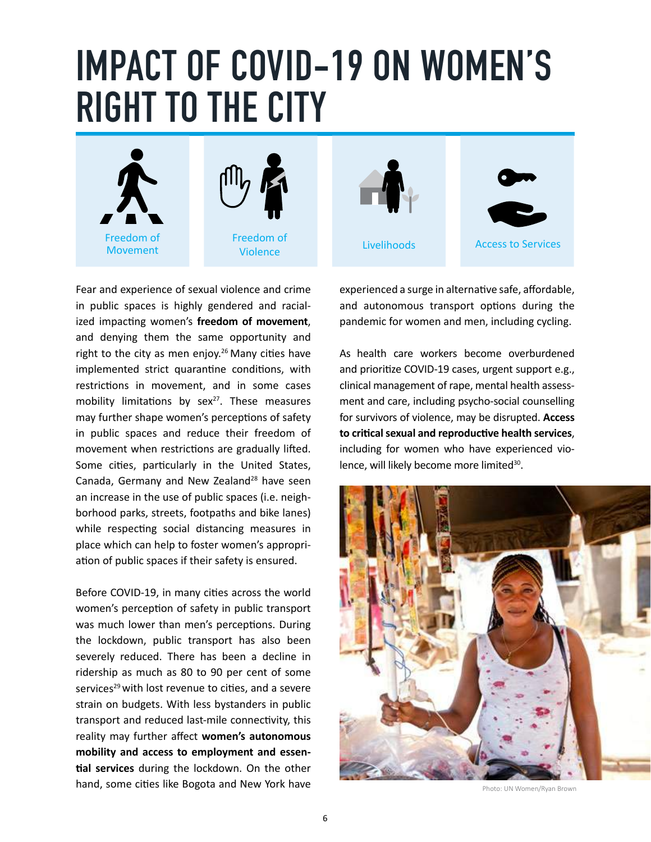### **IMPACT OF COVID-19 ON WOMEN'S RIGHT TO THE CITY**



Fear and experience of sexual violence and crime in public spaces is highly gendered and racialized impacting women's **freedom of movement**, and denying them the same opportunity and right to the city as men enjoy.<sup>26</sup> Many cities have implemented strict quarantine conditions, with restrictions in movement, and in some cases mobility limitations by sex $27$ . These measures may further shape women's perceptions of safety in public spaces and reduce their freedom of movement when restrictions are gradually lifted. Some cities, particularly in the United States, Canada, Germany and New Zealand<sup>28</sup> have seen an increase in the use of public spaces (i.e. neighborhood parks, streets, footpaths and bike lanes) while respecting social distancing measures in place which can help to foster women's appropriation of public spaces if their safety is ensured.

Before COVID-19, in many cities across the world women's perception of safety in public transport was much lower than men's perceptions. During the lockdown, public transport has also been severely reduced. There has been a decline in ridership as much as 80 to 90 per cent of some services<sup>29</sup> with lost revenue to cities, and a severe strain on budgets. With less bystanders in public transport and reduced last-mile connectivity, this reality may further affect **women's autonomous mobility and access to employment and essential services** during the lockdown. On the other hand, some cities like [Bogota](https://www.smartcitiesworld.net/news/news/bogota-expands-bike-lanes-overnight-to-curb-coronavirus-spread-5127) and [New York](https://www.nytimes.com/2020/03/14/nyregion/coronavirus-nyc-bike-commute.html?fbclid=IwAR09N0mDiTdpw8ltj-Rce8aivMsnkwcCO_3BPPA4mPi1S01QtrlygAgjAw4) have experienced a surge in alternative safe, affordable, and autonomous transport options during the pandemic for women and men, including cycling.

As health care workers become overburdened and prioritize COVID-19 cases, urgent support e.g., clinical management of rape, mental health assessment and care, including psycho-social counselling for survivors of violence, may be disrupted. **Access to critical sexual and reproductive health services**, including for women who have experienced violence, will likely become more limited<sup>30</sup>.



Photo: UN Women/Ryan Brown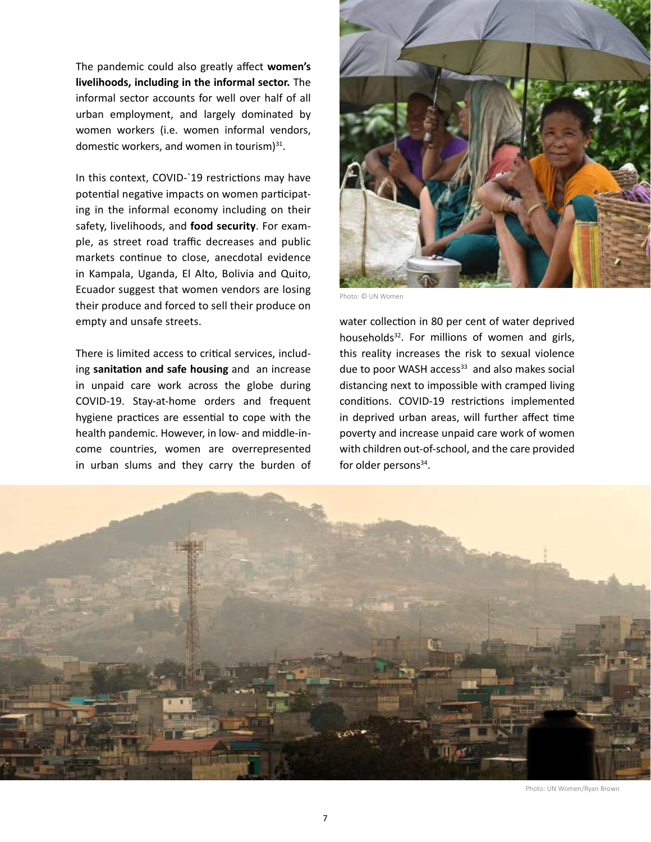The pandemic could also greatly affect **women's livelihoods, including in the informal sector.** The informal sector accounts for well over half of all urban employment, and largely dominated by women workers (i.e. women informal vendors, domestic workers, and women in tourism $3^{31}$ .

In this context, COVID-`19 restrictions may have potential negative impacts on women participating in the informal economy including on their safety, livelihoods, and **food security**. For example, as street road traffic decreases and public markets continue to close, anecdotal evidence in Kampala, Uganda, El Alto, Bolivia and Quito, Ecuador suggest that women vendors are losing their produce and forced to sell their produce on empty and unsafe streets.

There is limited access to critical services, including **sanitation and safe housing** and an increase in unpaid care work across the globe during COVID-19. Stay-at-home orders and frequent hygiene practices are essential to cope with the health pandemic. However, in low- and middle-income countries, women are overrepresented in urban slums and they carry the burden of



Photo: © UN Women

water collection in [80 per cent of water deprived](https://www.unwomen.org/en/news/in-focus/women-and-the-sdgs/sdg-6-clean-water-sanitation)  [households](https://www.unwomen.org/en/news/in-focus/women-and-the-sdgs/sdg-6-clean-water-sanitation)<sup>32</sup>. For millions of women and girls, this reality increases the risk to sexual violence due to poor WASH access<sup>33</sup> and also makes social distancing next to impossible with cramped living conditions. COVID-19 restrictions implemented in deprived urban areas, will further affect time poverty and increase unpaid care work of women with children out-of-school, and the care provided for older persons $34$ .



Photo: UN Women/Ryan Brown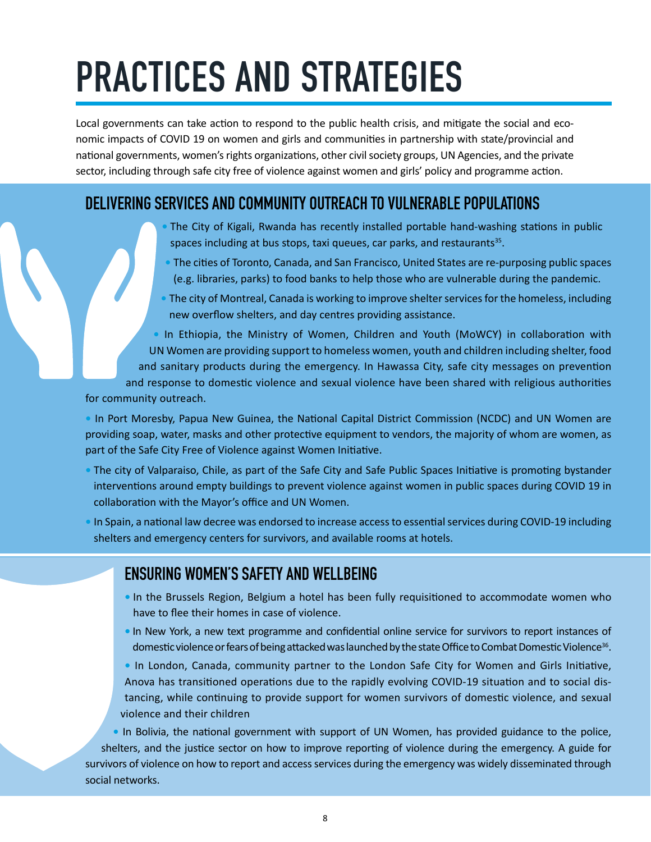# **PRACTICES AND STRATEGIES**

Local governments can take action to respond to the public health crisis, and mitigate the social and economic impacts of COVID 19 on women and girls and communities in partnership with state/provincial and national governments, women's rights organizations, other civil society groups, UN Agencies, and the private sector, including through safe city free of violence against women and girls' policy and programme action.

#### **DELIVERING SERVICES AND COMMUNITY OUTREACH TO VULNERABLE POPULATIONS**

- The City of Kigali, Rwanda has recently installed portable hand-washing stations in public spaces including at bus stops, taxi queues, car parks, and restaurants<sup>35</sup>.
- The cities of Toronto, Canada, and San Francisco, United States are re-purposing public spaces (e.g. libraries, parks) to food banks to help those who are vulnerable during the pandemic.
- The city of Montreal, Canada is working to improve shelter services for the homeless, including new overflow shelters, and day centres providing assistance.

**•** In Ethiopia, the Ministry of Women, Children and Youth (MoWCY) in collaboration with UN Women are providing support to homeless women, youth and children including shelter, food and sanitary products during the emergency. In Hawassa City, safe city messages on prevention and response to domestic violence and sexual violence have been shared with religious authorities

for community outreach.

**•** In Port Moresby, Papua New Guinea, the National Capital District Commission (NCDC) and UN Women are providing soap, water, masks and other protective equipment to vendors, the majority of whom are women, as part of the Safe City Free of Violence against Women Initiative.

- The city of Valparaiso, Chile, as part of the Safe City and Safe Public Spaces Initiative is promoting bystander interventions around empty buildings to prevent violence against women in public spaces during COVID 19 in collaboration with the Mayor's office and UN Women.
- In Spain, a national law decree was endorsed to increase access to essential services during COVID-19 including shelters and emergency centers for survivors, and available rooms at hotels.

#### **ENSURING WOMEN'S SAFETY AND WELLBEING**

- In the Brussels Region, Belgium a hotel has been fully requisitioned to accommodate women who have to flee their homes in case of violence.
- In New York, a new text programme and confidential online service for survivors to report instances of domestic violence or fears of being attacked was launched by the state Office to Combat Domestic Violence<sup>36</sup>.

**•** In London, Canada, community partner to the London Safe City for Women and Girls Initiative, Anova has transitioned operations due to the rapidly evolving COVID-19 situation and to social distancing, while continuing to provide support for women survivors of domestic violence, and sexual violence and their children

**•** In Bolivia, the national government with support of UN Women, has provided guidance to the police, shelters, and the justice sector on how to improve reporting of violence during the emergency. A guide for survivors of violence on how to report and access services during the emergency was widely disseminated through social networks.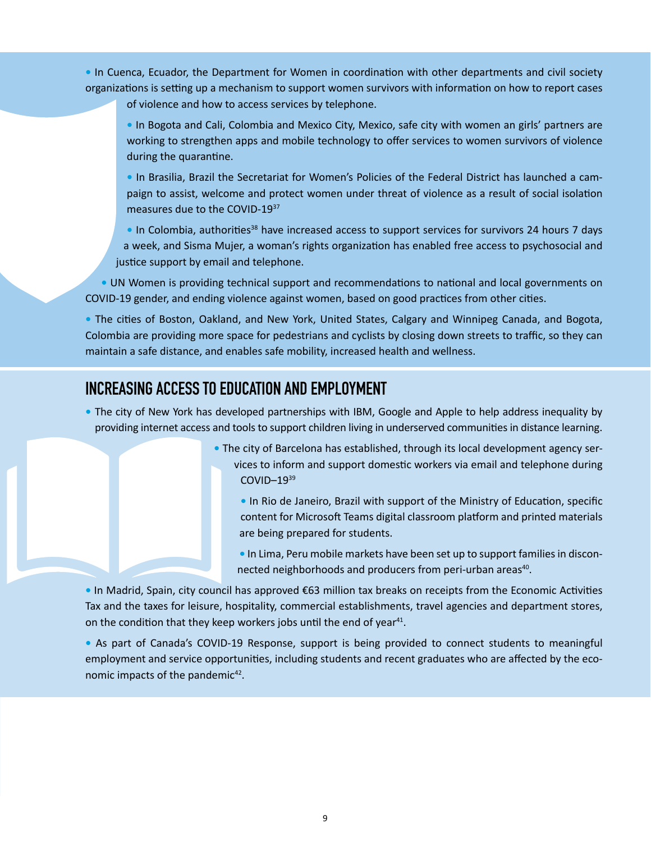**•** In Cuenca, Ecuador, the Department for Women in coordination with other departments and civil society organizations is setting up a mechanism to support women survivors with information on how to report cases

of violence and how to access services by telephone.

**•** In Bogota and Cali, Colombia and Mexico City, Mexico, safe city with women an girls' partners are working to strengthen apps and mobile technology to offer services to women survivors of violence during the quarantine.

**•** In Brasilia, Brazil the Secretariat for Women's Policies of the Federal District has launched a campaign to assist, welcome and protect women under threat of violence as a result of social isolation measures due to the COVID-1937

• In Colombia, authorities<sup>38</sup> have increased access to support services for survivors 24 hours 7 days a week, and Sisma Mujer, a woman's rights organization has enabled free access to psychosocial and justice support by email and telephone.

**•** UN Women is providing technical support and recommendations to national and local governments on COVID-19 gender, and ending violence against women, based on good practices from other cities.

**•** The cities of Boston, Oakland, and New York, United States, Calgary and Winnipeg Canada, and Bogota, Colombia are providing more space for pedestrians and cyclists by closing down streets to traffic, so they can maintain a safe distance, and enables safe mobility, increased health and wellness.

#### **INCREASING ACCESS TO EDUCATION AND EMPLOYMENT**

- The city of New York has developed partnerships with IBM, Google and Apple to help address inequality by providing internet access and tools to support children living in underserved communities in distance learning.
	- The city of Barcelona has established, through its local development agency services to inform and support domestic workers via email and telephone during COVID–1939

**•** In Rio de Janeiro, Brazil with support of the Ministry of Education, specific content for Microsoft Teams digital classroom platform and printed materials are being prepared for students.

**•** In Lima, Peru mobile markets have been set up to support families in disconnected neighborhoods and producers from peri-urban areas<sup>40</sup>.

**•** In Madrid, Spain, city council has approved €63 million tax breaks on receipts from the Economic Activities Tax and the taxes for leisure, hospitality, commercial establishments, travel agencies and department stores, on the condition that they keep workers jobs until the end of year<sup>41</sup>.

**•** As part of Canada's COVID-19 Response, support is being provided to connect students to meaningful employment and service opportunities, including students and recent graduates who are affected by the economic impacts of the pandemic<sup>42</sup>.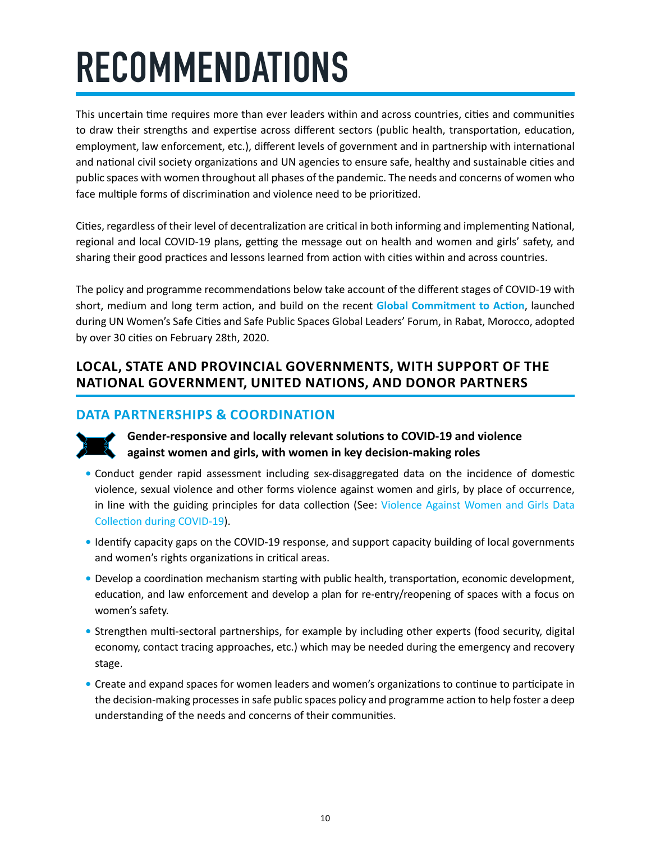# **RECOMMENDATIONS**

This uncertain time requires more than ever leaders within and across countries, cities and communities to draw their strengths and expertise across different sectors (public health, transportation, education, employment, law enforcement, etc.), different levels of government and in partnership with international and national civil society organizations and UN agencies to ensure safe, healthy and sustainable cities and public spaces with women throughout all phases of the pandemic. The needs and concerns of women who face multiple forms of discrimination and violence need to be prioritized.

Cities, regardless of their level of decentralization are critical in both informing and implementing National, regional and local COVID-19 plans, getting the message out on health and women and girls' safety, and sharing their good practices and lessons learned from action with cities within and across countries.

The policy and programme recommendations below take account of the different stages of COVID-19 with short, medium and long term action, and build on the recent **[Global Commitment to Action](https://endvawnow.org/uploads/browser/files/global_commitment_to_action_english.pdf)**, launched during UN Women's Safe Cities and Safe Public Spaces Global Leaders' Forum, in Rabat, Morocco, adopted by over 30 cities on February 28th, 2020.

#### **LOCAL, STATE AND PROVINCIAL GOVERNMENTS, WITH SUPPORT OF THE NATIONAL GOVERNMENT, UNITED NATIONS, AND DONOR PARTNERS**

#### **DATA PARTNERSHIPS & COORDINATION**



**Gender-responsive and locally relevant solutions to COVID-19 and violence against women and girls, with women in key decision-making roles**

- **•** Conduct gender rapid assessment including sex-disaggregated data on the incidence of domestic violence, sexual violence and other forms violence against women and girls, by place of occurrence, in line with the guiding principles for data collection (See: Violence Against Women and Girls Data [Collection during COVID-19\)](https://www.unwomen.org/-/media/headquarters/attachments/sections/library/publications/2020/vawg-data-collection-during-covid-19-compressed.pdf?la=en&vs=2339).
- **•** Identify capacity gaps on the COVID-19 response, and support capacity building of local governments and women's rights organizations in critical areas.
- **•** Develop a coordination mechanism starting with public health, transportation, economic development, education, and law enforcement and develop a plan for re-entry/reopening of spaces with a focus on women's safety.
- **•** Strengthen multi-sectoral partnerships, for example by including other experts (food security, digital economy, contact tracing approaches, etc.) which may be needed during the emergency and recovery stage.
- **•** Create and expand spaces for women leaders and women's organizations to continue to participate in the decision-making processes in safe public spaces policy and programme action to help foster a deep understanding of the needs and concerns of their communities.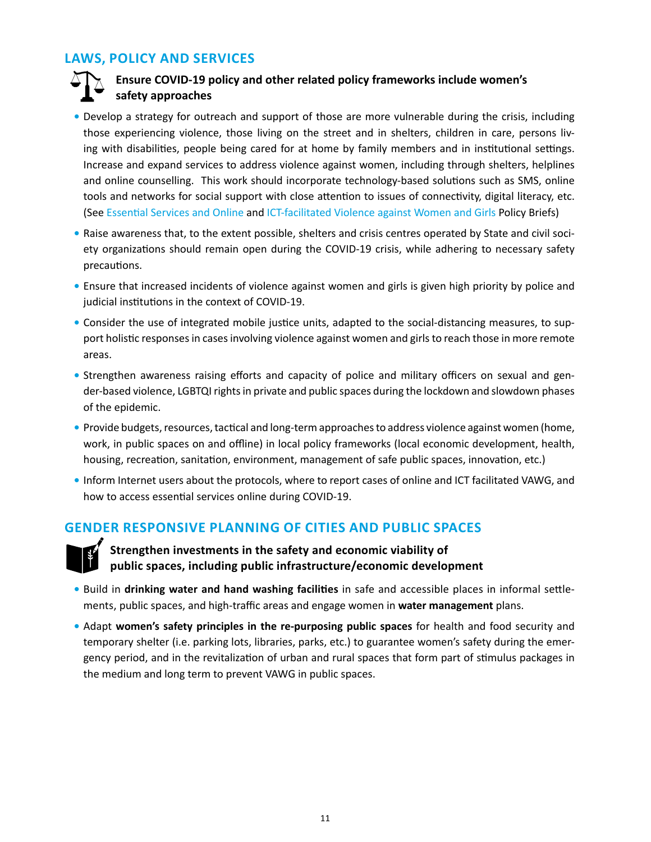#### **LAWS, POLICY AND SERVICES**

#### **Ensure COVID-19 policy and other related policy frameworks include women's safety approaches**

- Develop a strategy for outreach and support of those are more vulnerable during the crisis, including those experiencing violence, those living on the street and in shelters, children in care, persons living with disabilities, people being cared for at home by family members and in institutional settings. Increase and expand services to address violence against women, including through shelters, helplines and online counselling. This work should incorporate technology-based solutions such as SMS, online tools and networks for social support with close attention to issues of connectivity, digital literacy, etc. (See [Essential Services and Online](https://www.unwomen.org/en/digital-library/publications/2020/04/brief-covid-19-and-essential-services-provision-for-survivors-of-violence-against-women-and-girls) and [ICT-facilitated Violence against Women and Girls](https://www.unwomen.org/en/digital-library/publications/2020/04/brief-online-and-ict-facilitated-violence-against-women-and-girls-during-covid-19) Policy Briefs)
- **•** Raise awareness that, to the extent possible, shelters and crisis centres operated by State and civil society organizations should remain open during the COVID-19 crisis, while adhering to necessary safety precautions.
- **•** Ensure that increased incidents of violence against women and girls is given high priority by police and judicial institutions in the context of COVID-19.
- **•** Consider the use of integrated mobile justice units, adapted to the social-distancing measures, to support holistic responses in cases involving violence against women and girls to reach those in more remote areas.
- Strengthen awareness raising efforts and capacity of police and military officers on sexual and gender-based violence, LGBTQI rights in private and public spaces during the lockdown and slowdown phases of the epidemic.
- **•** Provide budgets, resources, tactical and long-term approaches to address violence against women (home, work, in public spaces on and offline) in local policy frameworks (local economic development, health, housing, recreation, sanitation, environment, management of safe public spaces, innovation, etc.)
- **•** Inform Internet users about the protocols, where to report cases of online and ICT facilitated VAWG, and how to access essential services online during COVID-19.

#### **GENDER RESPONSIVE PLANNING OF CITIES AND PUBLIC SPACES**



**Strengthen investments in the safety and economic viability of public spaces, including public infrastructure/economic development** 

- **•** Build in **drinking water and hand washing facilities** in safe and accessible places in informal settlements, public spaces, and high-traffic areas and engage women in **water management** plans.
- **•** Adapt **women's safety principles in the re-purposing public spaces** for health and food security and temporary shelter (i.e. parking lots, libraries, parks, etc.) to guarantee women's safety during the emergency period, and in the revitalization of urban and rural spaces that form part of stimulus packages in the medium and long term to prevent VAWG in public spaces.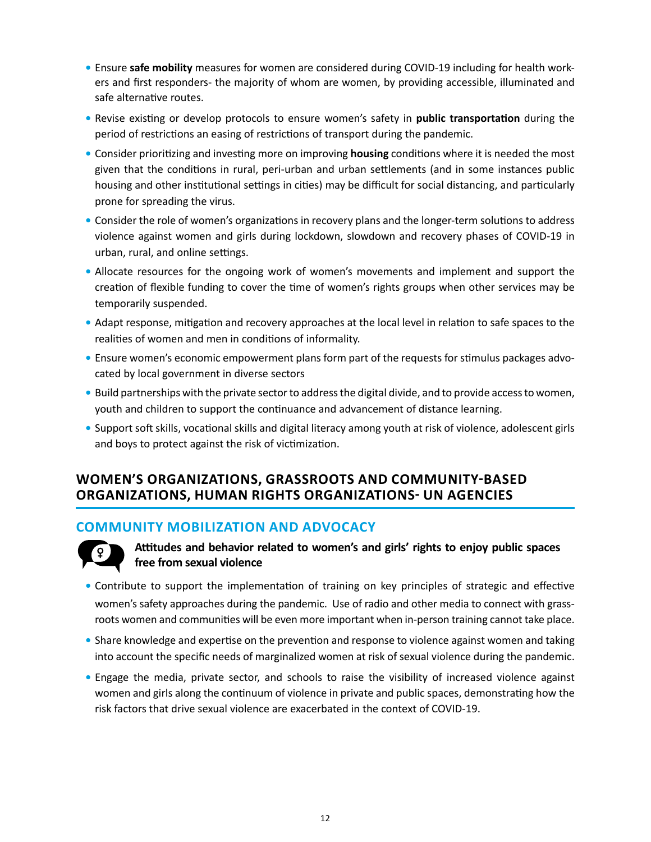- **•** Ensure **safe mobility** measures for women are considered during COVID-19 including for health workers and first responders- the majority of whom are women, by providing accessible, illuminated and safe alternative routes.
- **•** Revise existing or develop protocols to ensure women's safety in **public transportation** during the period of restrictions an easing of restrictions of transport during the pandemic.
- **•** Consider prioritizing and investing more on improving **housing** conditions where it is needed the most given that the conditions in rural, peri-urban and urban settlements (and in some instances public housing and other institutional settings in cities) may be difficult for social distancing, and particularly prone for spreading the virus.
- **•** Consider the role of women's organizations in recovery plans and the longer-term solutions to address violence against women and girls during lockdown, slowdown and recovery phases of COVID-19 in urban, rural, and online settings.
- **•** Allocate resources for the ongoing work of women's movements and implement and support the creation of flexible funding to cover the time of women's rights groups when other services may be temporarily suspended.
- **•** Adapt response, mitigation and recovery approaches at the local level in relation to safe spaces to the realities of women and men in conditions of informality.
- **•** Ensure women's economic empowerment plans form part of the requests for stimulus packages advocated by local government in diverse sectors
- **•** Build partnerships with the private sector to address the digital divide, and to provide access to women, youth and children to support the continuance and advancement of distance learning.
- **•** Support soft skills, vocational skills and digital literacy among youth at risk of violence, adolescent girls and boys to protect against the risk of victimization.

#### **WOMEN'S ORGANIZATIONS, GRASSROOTS AND COMMUNITY-BASED ORGANIZATIONS, HUMAN RIGHTS ORGANIZATIONS- UN AGENCIES**

#### **COMMUNITY MOBILIZATION AND ADVOCACY**



**Attitudes and behavior related to women's and girls' rights to enjoy public spaces free from sexual violence**

- **•** Contribute to support the implementation of training on key principles of strategic and effective women's safety approaches during the pandemic. Use of radio and other media to connect with grassroots women and communities will be even more important when in-person training cannot take place.
- **•** Share knowledge and expertise on the prevention and response to violence against women and taking into account the specific needs of marginalized women at risk of sexual violence during the pandemic.
- **•** Engage the media, private sector, and schools to raise the visibility of increased violence against women and girls along the continuum of violence in private and public spaces, demonstrating how the risk factors that drive sexual violence are exacerbated in the context of COVID-19.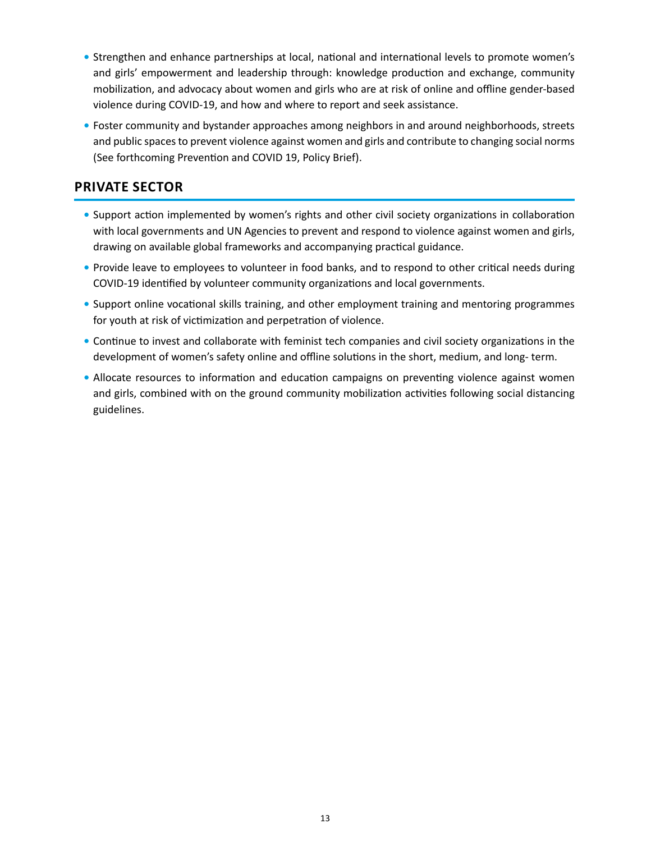- **•** Strengthen and enhance partnerships at local, national and international levels to promote women's and girls' empowerment and leadership through: knowledge production and exchange, community mobilization, and advocacy about women and girls who are at risk of online and offline gender-based violence during COVID-19, and how and where to report and seek assistance.
- **•** Foster community and bystander approaches among neighbors in and around neighborhoods, streets and public spaces to prevent violence against women and girls and contribute to changing social norms (See forthcoming Prevention and COVID 19, Policy Brief).

#### **PRIVATE SECTOR**

- **•** Support action implemented by women's rights and other civil society organizations in collaboration with local governments and UN Agencies to prevent and respond to violence against women and girls, drawing on available global frameworks and accompanying practical guidance.
- Provide leave to employees to volunteer in food banks, and to respond to other critical needs during COVID-19 identified by volunteer community organizations and local governments.
- **•** Support online vocational skills training, and other employment training and mentoring programmes for youth at risk of victimization and perpetration of violence.
- **•** Continue to invest and collaborate with feminist tech companies and civil society organizations in the development of women's safety online and offline solutions in the short, medium, and long- term.
- Allocate resources to information and education campaigns on preventing violence against women and girls, combined with on the ground community mobilization activities following social distancing guidelines.